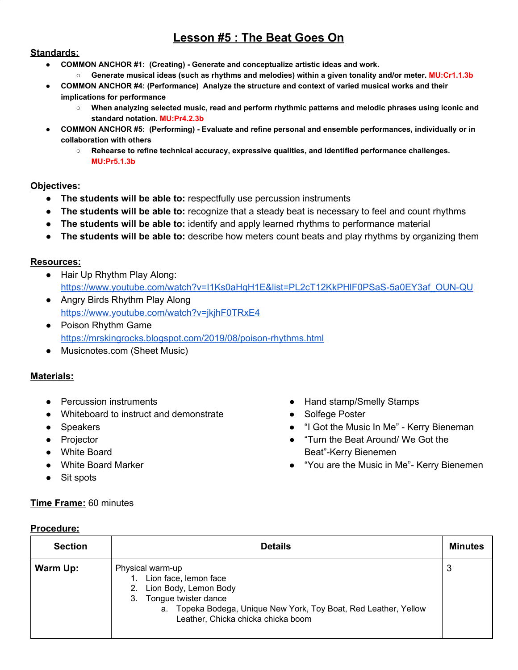# **Lesson #5 : The Beat Goes On**

#### **Standards:**

- **● COMMON ANCHOR #1: (Creating) Generate and conceptualize artistic ideas and work.**
	- **○ Generate musical ideas (such as rhythms and melodies) within a given tonality and/or meter. MU:Cr1.1.3b**
- **● COMMON ANCHOR #4: (Performance) Analyze the structure and context of varied musical works and their implications for performance**
	- **○ When analyzing selected music, read and perform rhythmic patterns and melodic phrases using iconic and standard notation. MU:Pr4.2.3b**
- **● COMMON ANCHOR #5: (Performing) Evaluate and refine personal and ensemble performances, individually or in collaboration with others**
	- **○ Rehearse to refine technical accuracy, expressive qualities, and identified performance challenges. MU:Pr5.1.3b**

# **Objectives:**

- **● The students will be able to:** respectfully use percussion instruments
- **● The students will be able to:** recognize that a steady beat is necessary to feel and count rhythms
- **● The students will be able to:** identify and apply learned rhythms to performance material
- **● The students will be able to:** describe how meters count beats and play rhythms by organizing them

#### **Resources:**

- Hair Up Rhythm Play Along: [https://www.youtube.com/watch?v=I1Ks0aHqH1E&list=PL2cT12KkPHlF0PSaS-5a0EY3af\\_OUN-QU](https://www.youtube.com/watch?v=I1Ks0aHqH1E&list=PL2cT12KkPHlF0PSaS-5a0EY3af_OUN-QU)
- Angry Birds Rhythm Play Along <https://www.youtube.com/watch?v=jkjhF0TRxE4>
- Poison Rhythm Game <https://mrskingrocks.blogspot.com/2019/08/poison-rhythms.html>
- Musicnotes.com (Sheet Music)

## **Materials:**

- Percussion instruments
- Whiteboard to instruct and demonstrate
- Speakers
- Projector
- White Board
- White Board Marker
- Sit spots

**Procedure:**

## **Time Frame:** 60 minutes

- Hand stamp/Smelly Stamps
- Solfege Poster
- "I Got the Music In Me" Kerry Bieneman
- "Turn the Beat Around/ We Got the Beat"-Kerry Bienemen
- "You are the Music in Me"- Kerry Bienemen

| <b>Section</b> | <b>Details</b>                                                                                                                                                                                                   | <b>Minutes</b> |
|----------------|------------------------------------------------------------------------------------------------------------------------------------------------------------------------------------------------------------------|----------------|
| Warm Up:       | Physical warm-up<br>Lion face, lemon face<br>Lion Body, Lemon Body<br>2.<br>Tongue twister dance<br>3.<br>a. Topeka Bodega, Unique New York, Toy Boat, Red Leather, Yellow<br>Leather, Chicka chicka chicka boom | 3              |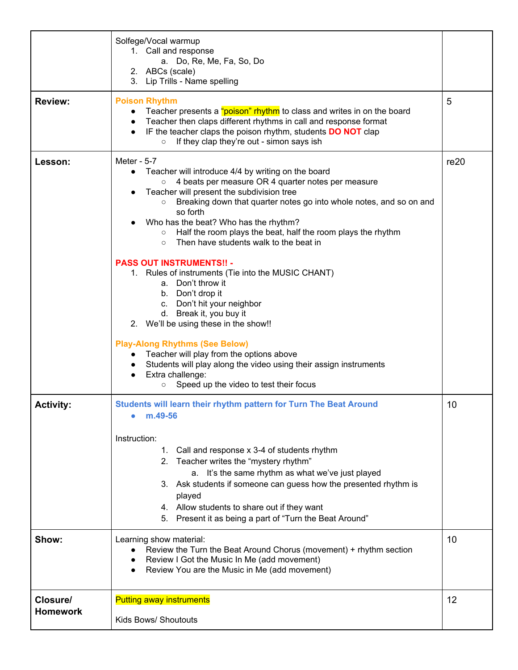|                             | Solfege/Vocal warmup<br>1. Call and response<br>a. Do, Re, Me, Fa, So, Do<br>2. ABCs (scale)<br>3. Lip Trills - Name spelling                                                                                                                                                                                                                                                                                                                                                                                                                                                                                                                                                                                                                                                                                                                                                                                                                                        |          |
|-----------------------------|----------------------------------------------------------------------------------------------------------------------------------------------------------------------------------------------------------------------------------------------------------------------------------------------------------------------------------------------------------------------------------------------------------------------------------------------------------------------------------------------------------------------------------------------------------------------------------------------------------------------------------------------------------------------------------------------------------------------------------------------------------------------------------------------------------------------------------------------------------------------------------------------------------------------------------------------------------------------|----------|
| <b>Review:</b>              | <b>Poison Rhythm</b><br>Teacher presents a "poison" rhythm to class and writes in on the board<br>Teacher then claps different rhythms in call and response format<br>$\bullet$<br>IF the teacher claps the poison rhythm, students <b>DO NOT</b> clap<br>$\bullet$<br>If they clap they're out - simon says ish<br>$\circ$                                                                                                                                                                                                                                                                                                                                                                                                                                                                                                                                                                                                                                          | 5        |
| Lesson:                     | Meter - 5-7<br>Teacher will introduce 4/4 by writing on the board<br>$\bullet$<br>4 beats per measure OR 4 quarter notes per measure<br>$\circ$<br>Teacher will present the subdivision tree<br>Breaking down that quarter notes go into whole notes, and so on and<br>$\circ$<br>so forth<br>Who has the beat? Who has the rhythm?<br>Half the room plays the beat, half the room plays the rhythm<br>$\circ$<br>Then have students walk to the beat in<br>$\circ$<br><b>PASS OUT INSTRUMENTS!! -</b><br>1. Rules of instruments (Tie into the MUSIC CHANT)<br>a. Don't throw it<br>b. Don't drop it<br>c. Don't hit your neighbor<br>d. Break it, you buy it<br>2. We'll be using these in the show!!<br><b>Play-Along Rhythms (See Below)</b><br>Teacher will play from the options above<br>Students will play along the video using their assign instruments<br>$\bullet$<br>Extra challenge:<br>$\bullet$<br>Speed up the video to test their focus<br>$\circ$ | re20     |
| <b>Activity:</b><br>Show:   | Students will learn their rhythm pattern for Turn The Beat Around<br>m.49-56<br>Instruction:<br>Call and response x 3-4 of students rhythm<br>1.<br>Teacher writes the "mystery rhythm"<br>2.<br>a. It's the same rhythm as what we've just played<br>3. Ask students if someone can guess how the presented rhythm is<br>played<br>4. Allow students to share out if they want<br>5. Present it as being a part of "Turn the Beat Around"<br>Learning show material:<br>Review the Turn the Beat Around Chorus (movement) + rhythm section<br>Review I Got the Music In Me (add movement)<br>Review You are the Music in Me (add movement)                                                                                                                                                                                                                                                                                                                          | 10<br>10 |
| Closure/<br><b>Homework</b> | <b>Putting away instruments</b><br>Kids Bows/ Shoutouts                                                                                                                                                                                                                                                                                                                                                                                                                                                                                                                                                                                                                                                                                                                                                                                                                                                                                                              | 12       |